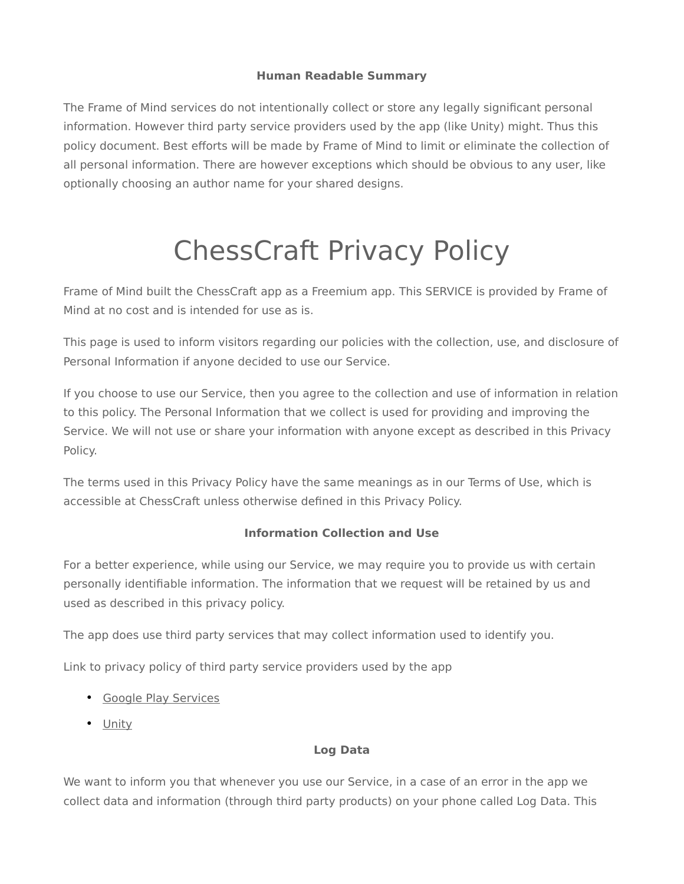## **Human Readable Summary**

The Frame of Mind services do not intentionally collect or store any legally significant personal information. However third party service providers used by the app (like Unity) might. Thus this policy document. Best efforts will be made by Frame of Mind to limit or eliminate the collection of all personal information. There are however exceptions which should be obvious to any user, like optionally choosing an author name for your shared designs.

# ChessCraft Privacy Policy

Frame of Mind built the ChessCraft app as a Freemium app. This SERVICE is provided by Frame of Mind at no cost and is intended for use as is.

This page is used to inform visitors regarding our policies with the collection, use, and disclosure of Personal Information if anyone decided to use our Service.

If you choose to use our Service, then you agree to the collection and use of information in relation to this policy. The Personal Information that we collect is used for providing and improving the Service. We will not use or share your information with anyone except as described in this Privacy Policy.

The terms used in this Privacy Policy have the same meanings as in our Terms of Use, which is accessible at ChessCraft unless otherwise defined in this Privacy Policy.

# **Information Collection and Use**

For a better experience, while using our Service, we may require you to provide us with certain personally identifiable information. The information that we request will be retained by us and used as described in this privacy policy.

The app does use third party services that may collect information used to identify you.

Link to privacy policy of third party service providers used by the app

- • [Google Play Services](https://www.google.com/policies/privacy/)
- • [Unity](https://unity3d.com/legal/privacy-policy)

# **Log Data**

We want to inform you that whenever you use our Service, in a case of an error in the app we collect data and information (through third party products) on your phone called Log Data. This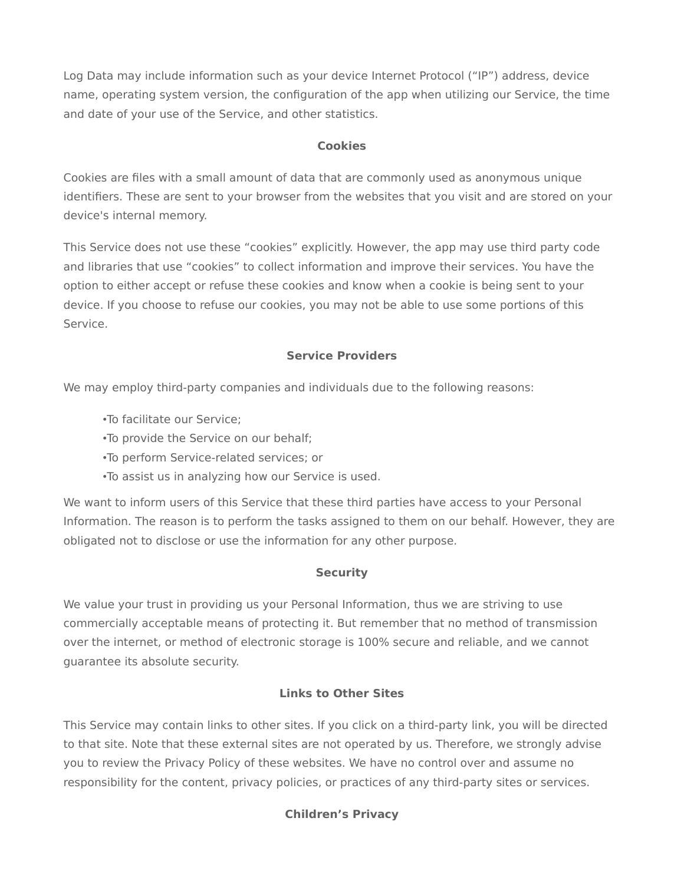Log Data may include information such as your device Internet Protocol ("IP") address, device name, operating system version, the configuration of the app when utilizing our Service, the time and date of your use of the Service, and other statistics.

## **Cookies**

Cookies are files with a small amount of data that are commonly used as anonymous unique identifiers. These are sent to your browser from the websites that you visit and are stored on your device's internal memory.

This Service does not use these "cookies" explicitly. However, the app may use third party code and libraries that use "cookies" to collect information and improve their services. You have the option to either accept or refuse these cookies and know when a cookie is being sent to your device. If you choose to refuse our cookies, you may not be able to use some portions of this Service.

## **Service Providers**

We may employ third-party companies and individuals due to the following reasons:

- •To facilitate our Service;
- •To provide the Service on our behalf;
- •To perform Service-related services; or
- •To assist us in analyzing how our Service is used.

We want to inform users of this Service that these third parties have access to your Personal Information. The reason is to perform the tasks assigned to them on our behalf. However, they are obligated not to disclose or use the information for any other purpose.

#### **Security**

We value your trust in providing us your Personal Information, thus we are striving to use commercially acceptable means of protecting it. But remember that no method of transmission over the internet, or method of electronic storage is 100% secure and reliable, and we cannot guarantee its absolute security.

#### **Links to Other Sites**

This Service may contain links to other sites. If you click on a third-party link, you will be directed to that site. Note that these external sites are not operated by us. Therefore, we strongly advise you to review the Privacy Policy of these websites. We have no control over and assume no responsibility for the content, privacy policies, or practices of any third-party sites or services.

# **Children's Privacy**